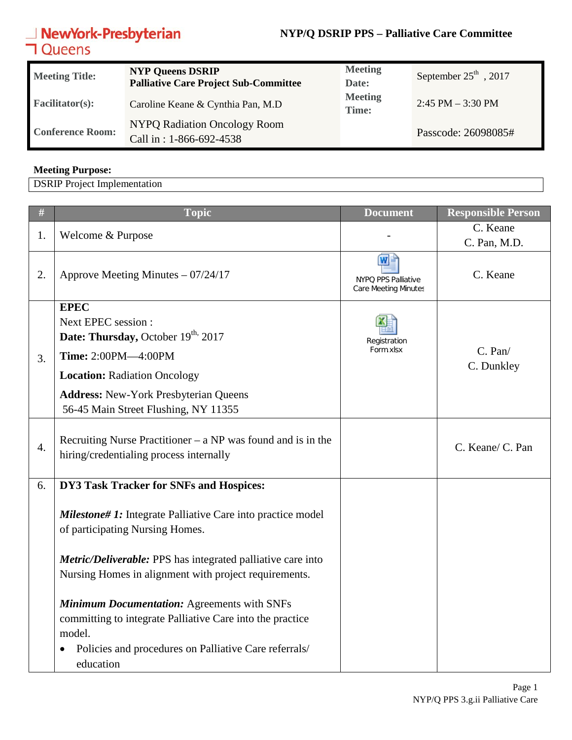#### **NYP/Q DSRIP PPS – Palliative Care Committee**

# **NewYork-Presbyterian**<br>**コ**Queens

| <b>Meeting Title:</b>   | <b>NYP Queens DSRIP</b><br><b>Palliative Care Project Sub-Committee</b> | <b>Meeting</b><br>Date: | September 25 <sup>th</sup> , 2017 |
|-------------------------|-------------------------------------------------------------------------|-------------------------|-----------------------------------|
| <b>Facilitator(s):</b>  | Caroline Keane & Cynthia Pan, M.D                                       | <b>Meeting</b><br>Time: | $2:45$ PM $-3:30$ PM              |
| <b>Conference Room:</b> | NYPQ Radiation Oncology Room<br>Call in: 1-866-692-4538                 |                         | Passcode: 26098085#               |

#### **Meeting Purpose:**

DSRIP Project Implementation

| $\#$             | <b>Topic</b>                                                                                                                                                                                                                               | <b>Document</b>                                         | <b>Responsible Person</b>  |
|------------------|--------------------------------------------------------------------------------------------------------------------------------------------------------------------------------------------------------------------------------------------|---------------------------------------------------------|----------------------------|
| 1.               | Welcome & Purpose                                                                                                                                                                                                                          |                                                         | C. Keane<br>C. Pan, M.D.   |
| 2.               | Approve Meeting Minutes $-07/24/17$                                                                                                                                                                                                        | W<br>NYPO PPS Palliative<br><b>Care Meeting Minutes</b> | C. Keane                   |
| 3.               | <b>EPEC</b><br>Next EPEC session :<br>Date: Thursday, October 19 <sup>th,</sup> 2017<br>Time: 2:00PM-4:00PM<br><b>Location: Radiation Oncology</b><br><b>Address: New-York Presbyterian Queens</b><br>56-45 Main Street Flushing, NY 11355 | Registration<br>Form.xlsx                               | $C.$ Pan $/$<br>C. Dunkley |
| $\overline{4}$ . | Recruiting Nurse Practitioner – $a NP$ was found and is in the<br>hiring/credentialing process internally                                                                                                                                  |                                                         | C. Keane/ C. Pan           |
| 6.               | DY3 Task Tracker for SNFs and Hospices:<br><b>Milestone# 1:</b> Integrate Palliative Care into practice model                                                                                                                              |                                                         |                            |
|                  | of participating Nursing Homes.<br>Metric/Deliverable: PPS has integrated palliative care into<br>Nursing Homes in alignment with project requirements.                                                                                    |                                                         |                            |
|                  | <b>Minimum Documentation: Agreements with SNFs</b><br>committing to integrate Palliative Care into the practice<br>model.<br>Policies and procedures on Palliative Care referrals/<br>education                                            |                                                         |                            |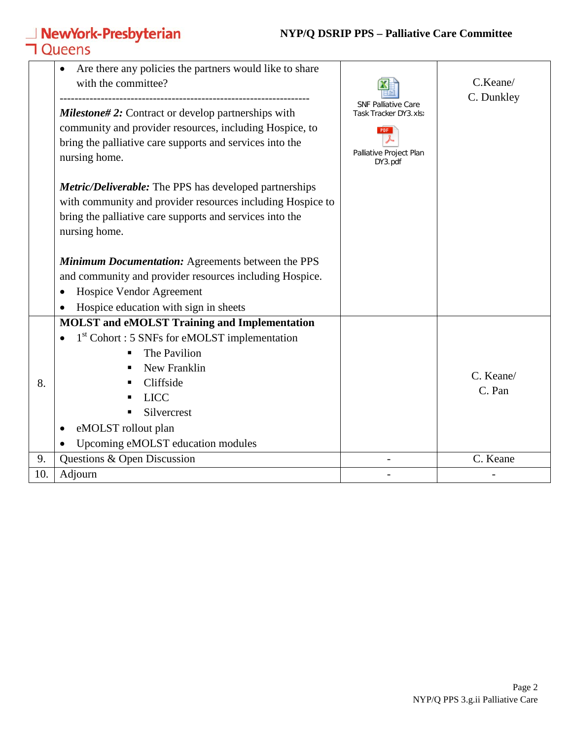#### **NYP/Q DSRIP PPS – Palliative Care Committee**

|     | NewYork-Presbyterian<br><b>1</b> Oueens                                                                                                                                                                            | <b>NYP/Q DSRIP PPS - Palliative Care Committee</b>  |                        |
|-----|--------------------------------------------------------------------------------------------------------------------------------------------------------------------------------------------------------------------|-----------------------------------------------------|------------------------|
|     | Are there any policies the partners would like to share<br>$\bullet$<br>with the committee?                                                                                                                        |                                                     | C.Keane/<br>C. Dunkley |
|     | <b>Milestone#2:</b> Contract or develop partnerships with                                                                                                                                                          | <b>SNF Palliative Care</b><br>Task Tracker DY3.xls) |                        |
|     | community and provider resources, including Hospice, to<br>bring the palliative care supports and services into the<br>nursing home.                                                                               | PDF<br>Palliative Project Plan<br>DY3.pdf           |                        |
|     | <b>Metric/Deliverable:</b> The PPS has developed partnerships<br>with community and provider resources including Hospice to<br>bring the palliative care supports and services into the<br>nursing home.           |                                                     |                        |
|     | <b>Minimum Documentation:</b> Agreements between the PPS<br>and community and provider resources including Hospice.<br>Hospice Vendor Agreement<br>$\bullet$<br>Hospice education with sign in sheets<br>$\bullet$ |                                                     |                        |
|     | <b>MOLST</b> and eMOLST Training and Implementation                                                                                                                                                                |                                                     |                        |
| 8.  | $1st$ Cohort : 5 SNFs for eMOLST implementation<br>The Pavilion<br>New Franklin<br>Cliffside<br><b>LICC</b><br>Silvercrest<br>eMOLST rollout plan<br>$\bullet$<br>Upcoming eMOLST education modules                |                                                     | C. Keane/<br>C. Pan    |
| 9.  | Questions & Open Discussion                                                                                                                                                                                        |                                                     | C. Keane               |
| 10. | Adjourn                                                                                                                                                                                                            |                                                     |                        |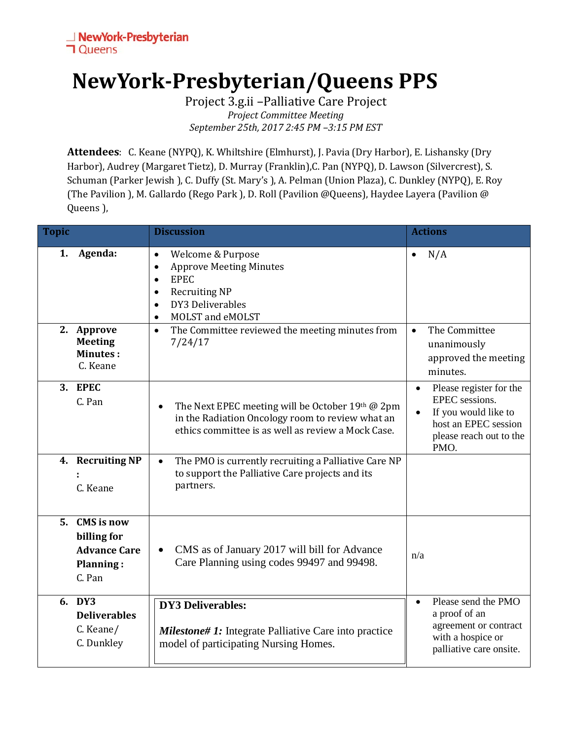### **NewYork-Presbyterian/Queens PPS**

Project 3.g.ii –Palliative Care Project *Project Committee Meeting September 25th, 2017 2:45 PM –3:15 PM EST*

**Attendees**: C. Keane (NYPQ), K. Whiltshire (Elmhurst), J. Pavia (Dry Harbor), E. Lishansky (Dry Harbor), Audrey (Margaret Tietz), D. Murray (Franklin),C. Pan (NYPQ), D. Lawson (Silvercrest), S. Schuman (Parker Jewish ), C. Duffy (St. Mary's ), A. Pelman (Union Plaza), C. Dunkley (NYPQ), E. Roy (The Pavilion ), M. Gallardo (Rego Park ), D. Roll (Pavilion @Queens), Haydee Layera (Pavilion @ Queens ),

| <b>Topic</b> |                                                                                       | <b>Discussion</b>                                                                                                                                                                                                | <b>Actions</b>                                                                                                                                         |
|--------------|---------------------------------------------------------------------------------------|------------------------------------------------------------------------------------------------------------------------------------------------------------------------------------------------------------------|--------------------------------------------------------------------------------------------------------------------------------------------------------|
| 1.           | Agenda:                                                                               | Welcome & Purpose<br>$\bullet$<br><b>Approve Meeting Minutes</b><br>$\bullet$<br><b>EPEC</b><br>$\bullet$<br><b>Recruiting NP</b><br>$\bullet$<br>DY3 Deliverables<br>$\bullet$<br>MOLST and eMOLST<br>$\bullet$ | N/A                                                                                                                                                    |
|              | 2. Approve<br><b>Meeting</b><br><b>Minutes:</b><br>C. Keane                           | The Committee reviewed the meeting minutes from<br>$\bullet$<br>7/24/17                                                                                                                                          | The Committee<br>$\bullet$<br>unanimously<br>approved the meeting<br>minutes.                                                                          |
|              | 3. EPEC<br>C. Pan                                                                     | The Next EPEC meeting will be October 19th @ 2pm<br>$\bullet$<br>in the Radiation Oncology room to review what an<br>ethics committee is as well as review a Mock Case.                                          | Please register for the<br>$\bullet$<br>EPEC sessions.<br>If you would like to<br>$\bullet$<br>host an EPEC session<br>please reach out to the<br>PMO. |
|              | 4. Recruiting NP<br>C. Keane                                                          | The PMO is currently recruiting a Palliative Care NP<br>$\bullet$<br>to support the Palliative Care projects and its<br>partners.                                                                                |                                                                                                                                                        |
| 5.           | <b>CMS</b> is now<br>billing for<br><b>Advance Care</b><br><b>Planning:</b><br>C. Pan | CMS as of January 2017 will bill for Advance<br>Care Planning using codes 99497 and 99498.                                                                                                                       | n/a                                                                                                                                                    |
|              | 6. DY3<br><b>Deliverables</b><br>C. Keane/<br>C. Dunkley                              | <b>DY3 Deliverables:</b><br><b>Milestone# 1:</b> Integrate Palliative Care into practice<br>model of participating Nursing Homes.                                                                                | Please send the PMO<br>$\bullet$<br>a proof of an<br>agreement or contract<br>with a hospice or<br>palliative care onsite.                             |